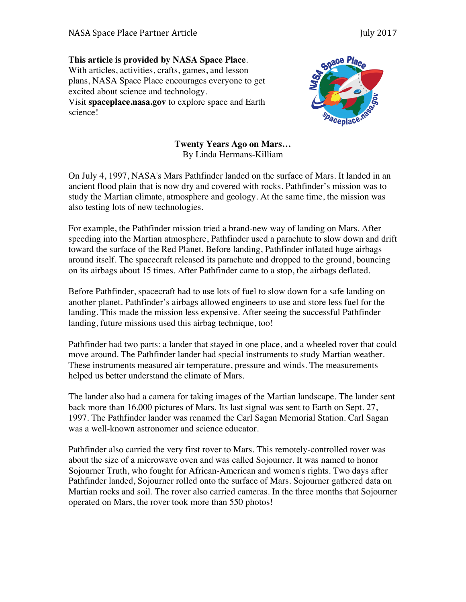## **This article is provided by NASA Space Place**. With articles, activities, crafts, games, and lesson plans, NASA Space Place encourages everyone to get excited about science and technology.

Visit **spaceplace.nasa.gov** to explore space and Earth science!



**Twenty Years Ago on Mars…** By Linda Hermans-Killiam

On July 4, 1997, NASA's Mars Pathfinder landed on the surface of Mars. It landed in an ancient flood plain that is now dry and covered with rocks. Pathfinder's mission was to study the Martian climate, atmosphere and geology. At the same time, the mission was also testing lots of new technologies.

For example, the Pathfinder mission tried a brand-new way of landing on Mars. After speeding into the Martian atmosphere, Pathfinder used a parachute to slow down and drift toward the surface of the Red Planet. Before landing, Pathfinder inflated huge airbags around itself. The spacecraft released its parachute and dropped to the ground, bouncing on its airbags about 15 times. After Pathfinder came to a stop, the airbags deflated.

Before Pathfinder, spacecraft had to use lots of fuel to slow down for a safe landing on another planet. Pathfinder's airbags allowed engineers to use and store less fuel for the landing. This made the mission less expensive. After seeing the successful Pathfinder landing, future missions used this airbag technique, too!

Pathfinder had two parts: a lander that stayed in one place, and a wheeled rover that could move around. The Pathfinder lander had special instruments to study Martian weather. These instruments measured air temperature, pressure and winds. The measurements helped us better understand the climate of Mars.

The lander also had a camera for taking images of the Martian landscape. The lander sent back more than 16,000 pictures of Mars. Its last signal was sent to Earth on Sept. 27, 1997. The Pathfinder lander was renamed the Carl Sagan Memorial Station. Carl Sagan was a well-known astronomer and science educator.

Pathfinder also carried the very first rover to Mars. This remotely-controlled rover was about the size of a microwave oven and was called Sojourner. It was named to honor Sojourner Truth, who fought for African-American and women's rights. Two days after Pathfinder landed, Sojourner rolled onto the surface of Mars. Sojourner gathered data on Martian rocks and soil. The rover also carried cameras. In the three months that Sojourner operated on Mars, the rover took more than 550 photos!